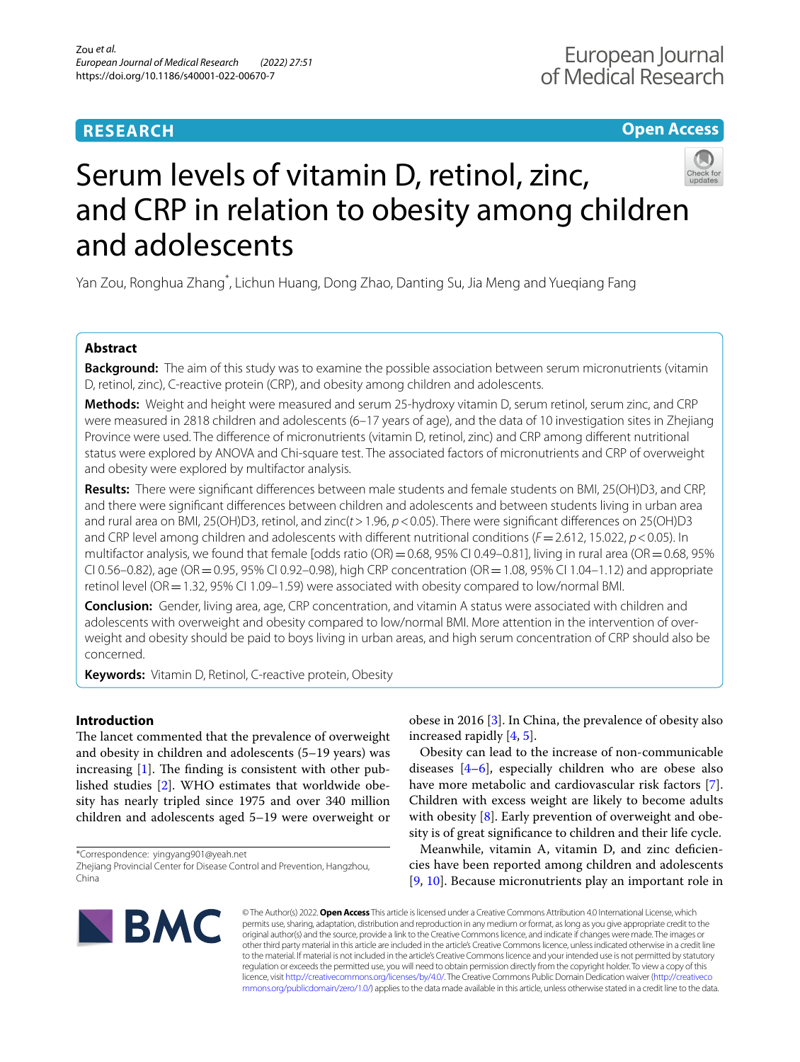## **RESEARCH**

**Open Access**

# Serum levels of vitamin D, retinol, zinc, and CRP in relation to obesity among children and adolescents

Yan Zou, Ronghua Zhang\* , Lichun Huang, Dong Zhao, Danting Su, Jia Meng and Yueqiang Fang

## **Abstract**

**Background:** The aim of this study was to examine the possible association between serum micronutrients (vitamin D, retinol, zinc), C-reactive protein (CRP), and obesity among children and adolescents.

**Methods:** Weight and height were measured and serum 25-hydroxy vitamin D, serum retinol, serum zinc, and CRP were measured in 2818 children and adolescents (6–17 years of age), and the data of 10 investigation sites in Zhejiang Province were used. The diference of micronutrients (vitamin D, retinol, zinc) and CRP among diferent nutritional status were explored by ANOVA and Chi-square test. The associated factors of micronutrients and CRP of overweight and obesity were explored by multifactor analysis.

**Results:** There were signifcant diferences between male students and female students on BMI, 25(OH)D3, and CRP, and there were signifcant diferences between children and adolescents and between students living in urban area and rural area on BMI, 25(OH)D3, retinol, and zinc(*t*>1.96, *p*<0.05). There were signifcant diferences on 25(OH)D3 and CRP level among children and adolescents with diferent nutritional conditions (*F*=2.612, 15.022, *p*<0.05). In multifactor analysis, we found that female [odds ratio (OR) =  $0.68$ , 95% CI 0.49-0.81], living in rural area (OR =  $0.68$ , 95% CI 0.56–0.82), age (OR = 0.95, 95% CI 0.92–0.98), high CRP concentration (OR = 1.08, 95% CI 1.04–1.12) and appropriate retinol level (OR=1.32, 95% CI 1.09–1.59) were associated with obesity compared to low/normal BMI.

**Conclusion:** Gender, living area, age, CRP concentration, and vitamin A status were associated with children and adolescents with overweight and obesity compared to low/normal BMI. More attention in the intervention of overweight and obesity should be paid to boys living in urban areas, and high serum concentration of CRP should also be concerned.

**Keywords:** Vitamin D, Retinol, C-reactive protein, Obesity

## **Introduction**

The lancet commented that the prevalence of overweight and obesity in children and adolescents (5–19 years) was increasing  $[1]$  $[1]$ . The finding is consistent with other published studies [\[2](#page-4-1)]. WHO estimates that worldwide obesity has nearly tripled since 1975 and over 340 million children and adolescents aged 5–19 were overweight or

\*Correspondence: yingyang901@yeah.net Zhejiang Provincial Center for Disease Control and Prevention, Hangzhou, China

obese in 2016 [[3\]](#page-4-2). In China, the prevalence of obesity also increased rapidly [[4,](#page-4-3) [5](#page-4-4)].

Obesity can lead to the increase of non-communicable diseases [[4–](#page-4-3)[6\]](#page-4-5), especially children who are obese also have more metabolic and cardiovascular risk factors [\[7](#page-4-6)]. Children with excess weight are likely to become adults with obesity  $[8]$  $[8]$ . Early prevention of overweight and obesity is of great signifcance to children and their life cycle.

Meanwhile, vitamin A, vitamin D, and zinc defciencies have been reported among children and adolescents [[9,](#page-5-1) [10\]](#page-5-2). Because micronutrients play an important role in



© The Author(s) 2022. **Open Access** This article is licensed under a Creative Commons Attribution 4.0 International License, which permits use, sharing, adaptation, distribution and reproduction in any medium or format, as long as you give appropriate credit to the original author(s) and the source, provide a link to the Creative Commons licence, and indicate if changes were made. The images or other third party material in this article are included in the article's Creative Commons licence, unless indicated otherwise in a credit line to the material. If material is not included in the article's Creative Commons licence and your intended use is not permitted by statutory regulation or exceeds the permitted use, you will need to obtain permission directly from the copyright holder. To view a copy of this licence, visit [http://creativecommons.org/licenses/by/4.0/.](http://creativecommons.org/licenses/by/4.0/) The Creative Commons Public Domain Dedication waiver ([http://creativeco](http://creativecommons.org/publicdomain/zero/1.0/) [mmons.org/publicdomain/zero/1.0/](http://creativecommons.org/publicdomain/zero/1.0/)) applies to the data made available in this article, unless otherwise stated in a credit line to the data.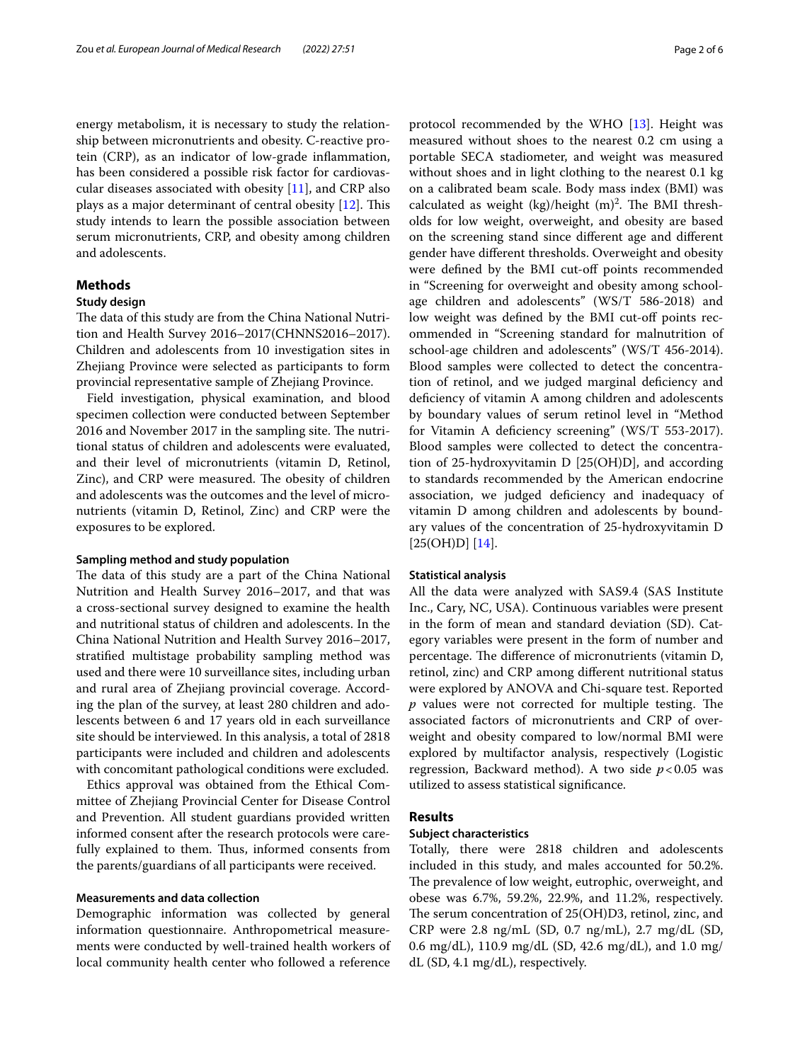energy metabolism, it is necessary to study the relationship between micronutrients and obesity. C-reactive protein (CRP), as an indicator of low-grade infammation, has been considered a possible risk factor for cardiovascular diseases associated with obesity  $[11]$ , and CRP also plays as a major determinant of central obesity  $[12]$ . This study intends to learn the possible association between serum micronutrients, CRP, and obesity among children and adolescents.

## **Methods**

## **Study design**

The data of this study are from the China National Nutrition and Health Survey 2016–2017(CHNNS2016–2017). Children and adolescents from 10 investigation sites in Zhejiang Province were selected as participants to form provincial representative sample of Zhejiang Province.

Field investigation, physical examination, and blood specimen collection were conducted between September 2016 and November 2017 in the sampling site. The nutritional status of children and adolescents were evaluated, and their level of micronutrients (vitamin D, Retinol, Zinc), and CRP were measured. The obesity of children and adolescents was the outcomes and the level of micronutrients (vitamin D, Retinol, Zinc) and CRP were the exposures to be explored.

#### **Sampling method and study population**

The data of this study are a part of the China National Nutrition and Health Survey 2016–2017, and that was a cross-sectional survey designed to examine the health and nutritional status of children and adolescents. In the China National Nutrition and Health Survey 2016–2017, stratifed multistage probability sampling method was used and there were 10 surveillance sites, including urban and rural area of Zhejiang provincial coverage. According the plan of the survey, at least 280 children and adolescents between 6 and 17 years old in each surveillance site should be interviewed. In this analysis, a total of 2818 participants were included and children and adolescents with concomitant pathological conditions were excluded.

Ethics approval was obtained from the Ethical Committee of Zhejiang Provincial Center for Disease Control and Prevention. All student guardians provided written informed consent after the research protocols were carefully explained to them. Thus, informed consents from the parents/guardians of all participants were received.

#### **Measurements and data collection**

Demographic information was collected by general information questionnaire. Anthropometrical measurements were conducted by well-trained health workers of local community health center who followed a reference protocol recommended by the WHO [\[13](#page-5-5)]. Height was measured without shoes to the nearest 0.2 cm using a portable SECA stadiometer, and weight was measured without shoes and in light clothing to the nearest 0.1 kg on a calibrated beam scale. Body mass index (BMI) was calculated as weight (kg)/height  $(m)^2$ . The BMI thresholds for low weight, overweight, and obesity are based on the screening stand since diferent age and diferent gender have diferent thresholds. Overweight and obesity were defined by the BMI cut-off points recommended in "Screening for overweight and obesity among schoolage children and adolescents" (WS/T 586-2018) and low weight was defined by the BMI cut-off points recommended in "Screening standard for malnutrition of school-age children and adolescents" (WS/T 456-2014). Blood samples were collected to detect the concentration of retinol, and we judged marginal defciency and defciency of vitamin A among children and adolescents by boundary values of serum retinol level in "Method for Vitamin A defciency screening" (WS/T 553-2017). Blood samples were collected to detect the concentration of 25-hydroxyvitamin D [25(OH)D], and according to standards recommended by the American endocrine association, we judged defciency and inadequacy of vitamin D among children and adolescents by boundary values of the concentration of 25-hydroxyvitamin D  $[25(OH)D] [14].$  $[25(OH)D] [14].$  $[25(OH)D] [14].$ 

#### **Statistical analysis**

All the data were analyzed with SAS9.4 (SAS Institute Inc., Cary, NC, USA). Continuous variables were present in the form of mean and standard deviation (SD). Category variables were present in the form of number and percentage. The difference of micronutrients (vitamin D, retinol, zinc) and CRP among diferent nutritional status were explored by ANOVA and Chi-square test. Reported  $p$  values were not corrected for multiple testing. The associated factors of micronutrients and CRP of overweight and obesity compared to low/normal BMI were explored by multifactor analysis, respectively (Logistic regression, Backward method). A two side *p*<0.05 was utilized to assess statistical signifcance.

### **Results**

### **Subject characteristics**

Totally, there were 2818 children and adolescents included in this study, and males accounted for 50.2%. The prevalence of low weight, eutrophic, overweight, and obese was 6.7%, 59.2%, 22.9%, and 11.2%, respectively. The serum concentration of 25(OH)D3, retinol, zinc, and CRP were 2.8 ng/mL (SD, 0.7 ng/mL), 2.7 mg/dL (SD, 0.6 mg/dL), 110.9 mg/dL (SD, 42.6 mg/dL), and 1.0 mg/ dL (SD, 4.1 mg/dL), respectively.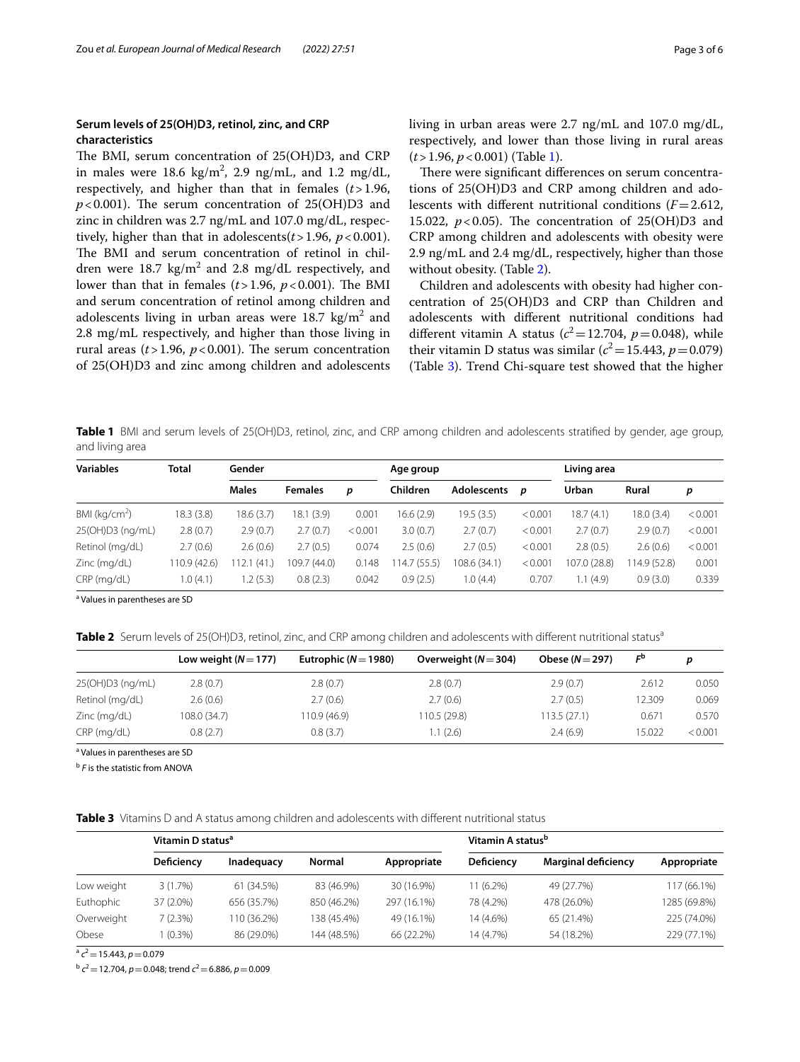## **Serum levels of 25(OH)D3, retinol, zinc, and CRP characteristics**

The BMI, serum concentration of 25(OH)D3, and CRP in males were  $18.6 \text{ kg/m}^2$ , 2.9 ng/mL, and 1.2 mg/dL, respectively, and higher than that in females (*t*>1.96,  $p < 0.001$ ). The serum concentration of 25(OH)D3 and zinc in children was 2.7 ng/mL and 107.0 mg/dL, respectively, higher than that in adolescents $(t > 1.96, p < 0.001)$ . The BMI and serum concentration of retinol in children were  $18.7 \text{ kg/m}^2$  and  $2.8 \text{ mg/dL}$  respectively, and lower than that in females  $(t > 1.96, p < 0.001)$ . The BMI and serum concentration of retinol among children and adolescents living in urban areas were 18.7  $\text{kg/m}^2$  and 2.8 mg/mL respectively, and higher than those living in rural areas  $(t > 1.96, p < 0.001)$ . The serum concentration of 25(OH)D3 and zinc among children and adolescents

living in urban areas were 2.7 ng/mL and 107.0 mg/dL, respectively, and lower than those living in rural areas (*t*>1.96, *p*<0.001) (Table [1\)](#page-2-0).

There were significant differences on serum concentrations of 25(OH)D3 and CRP among children and adolescents with diferent nutritional conditions (*F*=2.612, 15.022,  $p < 0.05$ ). The concentration of 25(OH)D3 and CRP among children and adolescents with obesity were 2.9 ng/mL and 2.4 mg/dL, respectively, higher than those without obesity. (Table [2\)](#page-2-1).

Children and adolescents with obesity had higher concentration of 25(OH)D3 and CRP than Children and adolescents with diferent nutritional conditions had different vitamin A status ( $c^2$  = 12.704,  $p$  = 0.048), while their vitamin D status was similar ( $c^2$  = 15.443, *p* = 0.079) (Table [3](#page-2-2)). Trend Chi-square test showed that the higher

<span id="page-2-0"></span>**Table 1** BMI and serum levels of 25(OH)D3, retinol, zinc, and CRP among children and adolescents stratifed by gender, age group, and living area

| <b>Variables</b>          | <b>Total</b> | Gender       |                |         | Age group   |                    |         | Living area  |             |         |
|---------------------------|--------------|--------------|----------------|---------|-------------|--------------------|---------|--------------|-------------|---------|
|                           |              | <b>Males</b> | <b>Females</b> | p       | Children    | <b>Adolescents</b> | p       | Urban        | Rural       | p       |
| BMI (kq/cm <sup>2</sup> ) | 18.3(3.8)    | 18.6(3.7)    | 18.1 (3.9)     | 0.001   | 16.6(2.9)   | 19.5 (3.5)         | < 0.001 | 18.7 (4.1)   | 18.0 (3.4)  | < 0.001 |
| 25(OH)D3 (ng/mL)          | 2.8(0.7)     | 2.9(0.7)     | 2.7(0.7)       | < 0.001 | 3.0(0.7)    | 2.7(0.7)           | < 0.001 | 2.7(0.7)     | 2.9(0.7)    | < 0.001 |
| Retinol (mg/dL)           | 2.7(0.6)     | 2.6(0.6)     | 2.7(0.5)       | 0.074   | 2.5(0.6)    | 2.7(0.5)           | < 0.001 | 2.8(0.5)     | 2.6(0.6)    | < 0.001 |
| Zinc (mg/dL)              | 110.9 (42.6) | (41)         | 109.7 (44.0)   | 0.148   | 14.7 (55.5) | 108.6 (34.1)       | < 0.001 | 107.0 (28.8) | 14.9 (52.8) | 0.001   |
| CRP (mg/dL)               | 1.0(4.1)     | .2(5.3)      | 0.8(2.3)       | 0.042   | 0.9(2.5)    | 1.0(4.4)           | 0.707   | 1.1(4.9)     | 0.9(3.0)    | 0.339   |

<sup>a</sup> Values in parentheses are SD

<span id="page-2-1"></span>Table 2 Serum levels of 25(OH)D3, retinol, zinc, and CRP among children and adolescents with different nutritional status<sup>a</sup>

|                  | Low weight $(N=177)$ | Eutrophic ( $N=1980$ ) | Overweight $(N=304)$ | Obese $(N=297)$ | $F^{\rm b}$ |         |
|------------------|----------------------|------------------------|----------------------|-----------------|-------------|---------|
| 25(OH)D3 (ng/mL) | 2.8(0.7)             | 2.8(0.7)               | 2.8(0.7)             | 2.9(0.7)        | 2.612       | 0.050   |
| Retinol (mg/dL)  | 2.6(0.6)             | 2.7(0.6)               | 2.7(0.6)             | 2.7(0.5)        | 12.309      | 0.069   |
| Zinc (mg/dL)     | 108.0 (34.7)         | 110.9 (46.9)           | 110.5 (29.8)         | 113.5(27.1)     | 0.671       | 0.570   |
| CRP (mg/dL)      | 0.8(2.7)             | 0.8(3.7)               | 1.1(2.6)             | 2.4(6.9)        | 15.022      | < 0.001 |

<sup>a</sup> Values in parentheses are SD

<sup>b</sup> *F* is the statistic from ANOVA

<span id="page-2-2"></span>**Table 3** Vitamins D and A status among children and adolescents with diferent nutritional status

|            | Vitamin D status <sup>a</sup> |                   |             | Vitamin A status <sup>b</sup> |                   |                            |              |
|------------|-------------------------------|-------------------|-------------|-------------------------------|-------------------|----------------------------|--------------|
|            | Deficiency                    | <b>Inadequacy</b> | Normal      | Appropriate                   | <b>Deficiency</b> | <b>Marginal deficiency</b> | Appropriate  |
| Low weight | 3(1.7%)                       | 61 (34.5%)        | 83 (46.9%)  | 30 (16.9%)                    | 11 (6.2%)         | 49 (27.7%)                 | 117 (66.1%)  |
| Euthophic  | 37 (2.0%)                     | 656 (35.7%)       | 850 (46.2%) | 297 (16.1%)                   | 78 (4.2%)         | 478 (26.0%)                | 1285 (69.8%) |
| Overweight | 7 (2.3%)                      | 110 (36.2%)       | 138 (45.4%) | 49 (16.1%)                    | 14 (4.6%)         | 65 (21.4%)                 | 225 (74.0%)  |
| Obese      | $(0.3\%)$                     | 86 (29.0%)        | 144 (48.5%) | 66 (22.2%)                    | 14 (4.7%)         | 54 (18.2%)                 | 229 (77.1%)  |

 $a^{2}$  *c*<sup>2</sup> = 15.443, *p* = 0.079

<sup>b</sup> *<sup>c</sup>*2=12.704, *p*=0.048; trend *c*2=6.886, *p*=0.009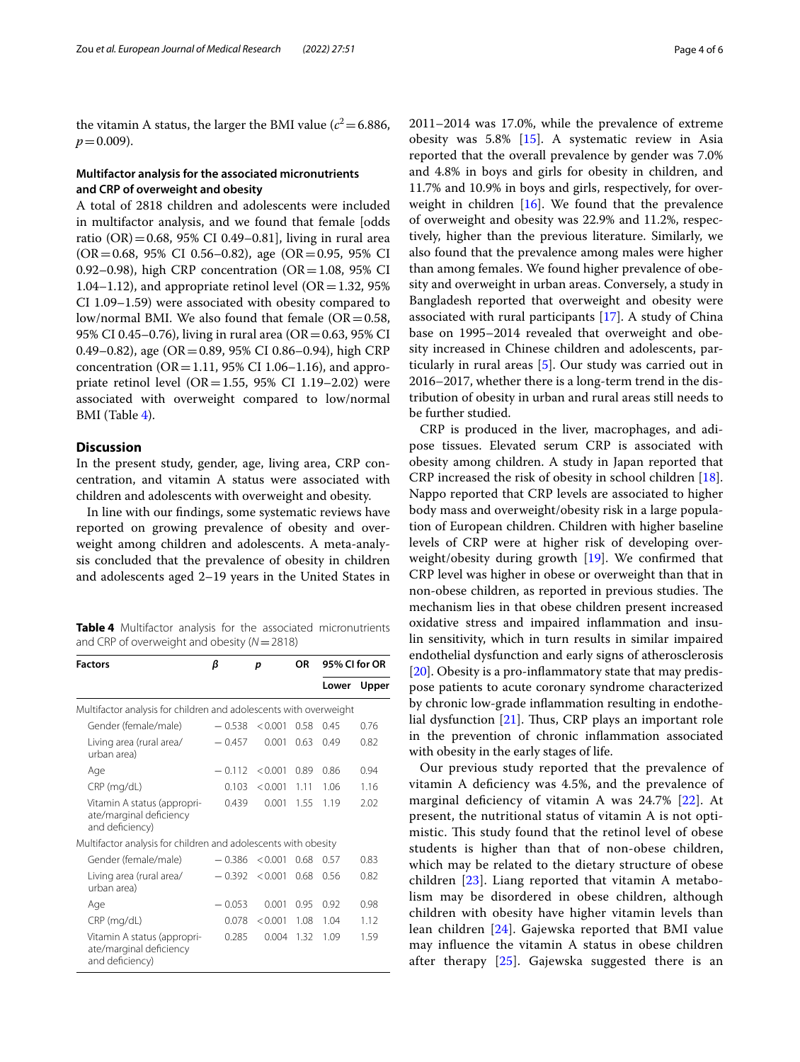the vitamin A status, the larger the BMI value  $(c^2=6.886,$  $p = 0.009$ ).

## **Multifactor analysis for the associated micronutrients and CRP of overweight and obesity**

A total of 2818 children and adolescents were included in multifactor analysis, and we found that female [odds ratio (OR) = 0.68, 95% CI 0.49–0.81], living in rural area (OR=0.68, 95% CI 0.56–0.82), age (OR=0.95, 95% CI 0.92–0.98), high CRP concentration ( $OR = 1.08$ , 95% CI 1.04–1.12), and appropriate retinol level ( $OR = 1.32$ , 95% CI 1.09–1.59) were associated with obesity compared to low/normal BMI. We also found that female ( $OR = 0.58$ , 95% CI 0.45–0.76), living in rural area (OR=0.63, 95% CI 0.49–0.82), age (OR=0.89, 95% CI 0.86–0.94), high CRP concentration ( $OR = 1.11$ , 95% CI 1.06–1.16), and appropriate retinol level (OR=1.55, 95% CI 1.19–2.02) were associated with overweight compared to low/normal BMI (Table [4](#page-3-0)).

## **Discussion**

In the present study, gender, age, living area, CRP concentration, and vitamin A status were associated with children and adolescents with overweight and obesity.

In line with our fndings, some systematic reviews have reported on growing prevalence of obesity and overweight among children and adolescents. A meta-analysis concluded that the prevalence of obesity in children and adolescents aged 2–19 years in the United States in

<span id="page-3-0"></span>**Table 4** Multifactor analysis for the associated micronutrients and CRP of overweight and obesity (*N*=2818)

| <b>Factors</b>                                                            | β        | p       | ΟR   | 95% CI for OR |       |
|---------------------------------------------------------------------------|----------|---------|------|---------------|-------|
|                                                                           |          |         |      | Lower         | Upper |
| Multifactor analysis for children and adolescents with overweight         |          |         |      |               |       |
| Gender (female/male)                                                      | $-0.538$ | < 0.001 | 0.58 | 0.45          | 0.76  |
| Living area (rural area/<br>urban area)                                   | $-0.457$ | 0.001   | 0.63 | 0.49          | 0.82  |
| Age                                                                       | $-0.112$ | < 0.001 | 0.89 | 0.86          | 0.94  |
| CRP (mg/dL)                                                               | 0.103    | < 0.001 | 1.11 | 1.06          | 1.16  |
| Vitamin A status (appropri-<br>ate/marginal deficiency<br>and deficiency) | 0.439    | 0.001   | 1.55 | 1.19          | 2.02  |
| Multifactor analysis for children and adolescents with obesity            |          |         |      |               |       |
| Gender (female/male)                                                      | $-0.386$ | < 0.001 | 0.68 | 0.57          | 0.83  |
| Living area (rural area/<br>urban area)                                   | $-0.392$ | < 0.001 | 0.68 | 0.56          | 0.82  |
| Age                                                                       | $-0.053$ | 0.001   | 0.95 | 0.92          | 0.98  |
| CRP (mg/dL)                                                               | 0.078    | < 0.001 | 1.08 | 1.04          | 1.12  |
| Vitamin A status (appropri-<br>ate/marginal deficiency<br>and deficiency) | 0.285    | 0.004   | 1.32 | 1.09          | 1.59  |

2011–2014 was 17.0%, while the prevalence of extreme obesity was 5.8% [[15\]](#page-5-7). A systematic review in Asia reported that the overall prevalence by gender was 7.0% and 4.8% in boys and girls for obesity in children, and 11.7% and 10.9% in boys and girls, respectively, for overweight in children [\[16](#page-5-8)]. We found that the prevalence of overweight and obesity was 22.9% and 11.2%, respectively, higher than the previous literature. Similarly, we also found that the prevalence among males were higher than among females. We found higher prevalence of obesity and overweight in urban areas. Conversely, a study in Bangladesh reported that overweight and obesity were associated with rural participants [\[17](#page-5-9)]. A study of China base on 1995–2014 revealed that overweight and obesity increased in Chinese children and adolescents, particularly in rural areas [\[5](#page-4-4)]. Our study was carried out in 2016–2017, whether there is a long-term trend in the distribution of obesity in urban and rural areas still needs to be further studied.

CRP is produced in the liver, macrophages, and adipose tissues. Elevated serum CRP is associated with obesity among children. A study in Japan reported that CRP increased the risk of obesity in school children [\[18](#page-5-10)]. Nappo reported that CRP levels are associated to higher body mass and overweight/obesity risk in a large population of European children. Children with higher baseline levels of CRP were at higher risk of developing overweight/obesity during growth [[19\]](#page-5-11). We confrmed that CRP level was higher in obese or overweight than that in non-obese children, as reported in previous studies. The mechanism lies in that obese children present increased oxidative stress and impaired infammation and insulin sensitivity, which in turn results in similar impaired endothelial dysfunction and early signs of atherosclerosis [[20\]](#page-5-12). Obesity is a pro-inflammatory state that may predispose patients to acute coronary syndrome characterized by chronic low-grade infammation resulting in endothelial dysfunction  $[21]$ . Thus, CRP plays an important role in the prevention of chronic infammation associated with obesity in the early stages of life.

Our previous study reported that the prevalence of vitamin A defciency was 4.5%, and the prevalence of marginal defciency of vitamin A was 24.7% [[22](#page-5-14)]. At present, the nutritional status of vitamin A is not optimistic. This study found that the retinol level of obese students is higher than that of non-obese children, which may be related to the dietary structure of obese children [[23](#page-5-15)]. Liang reported that vitamin A metabolism may be disordered in obese children, although children with obesity have higher vitamin levels than lean children [\[24\]](#page-5-16). Gajewska reported that BMI value may infuence the vitamin A status in obese children after therapy [[25](#page-5-17)]. Gajewska suggested there is an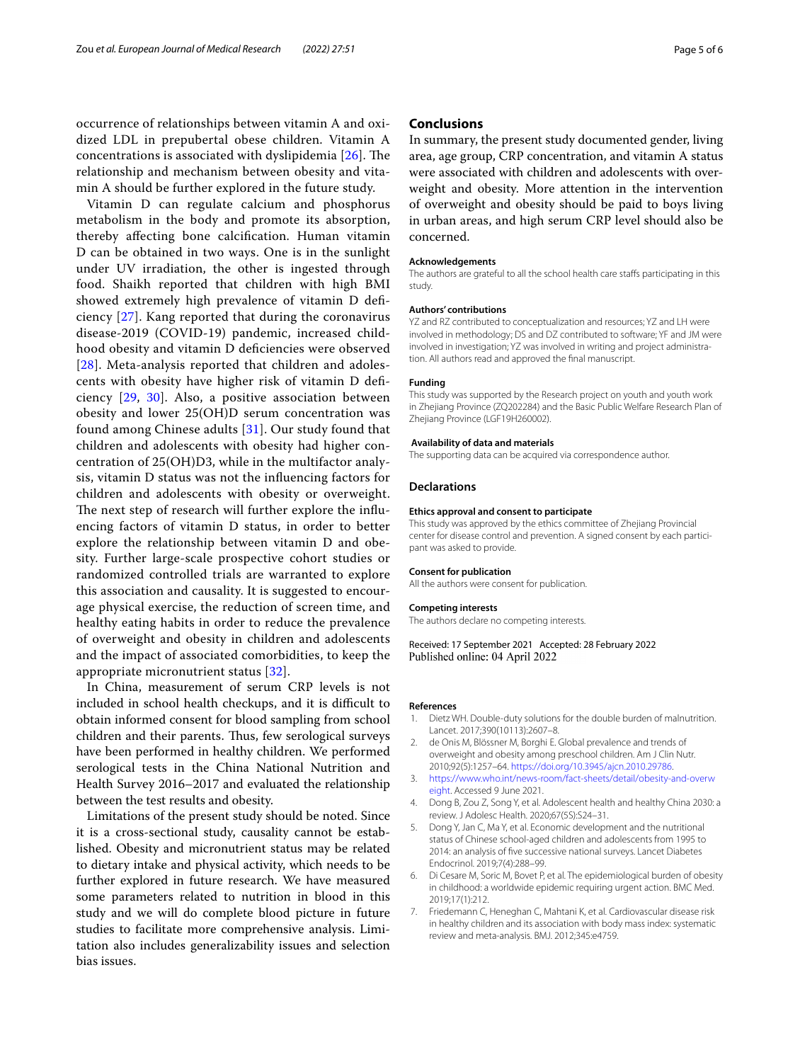occurrence of relationships between vitamin A and oxidized LDL in prepubertal obese children. Vitamin A concentrations is associated with dyslipidemia  $[26]$  $[26]$ . The relationship and mechanism between obesity and vitamin A should be further explored in the future study.

Vitamin D can regulate calcium and phosphorus metabolism in the body and promote its absorption, thereby afecting bone calcifcation. Human vitamin D can be obtained in two ways. One is in the sunlight under UV irradiation, the other is ingested through food. Shaikh reported that children with high BMI showed extremely high prevalence of vitamin D defciency [[27](#page-5-19)]. Kang reported that during the coronavirus disease-2019 (COVID-19) pandemic, increased childhood obesity and vitamin D defciencies were observed [[28](#page-5-20)]. Meta-analysis reported that children and adolescents with obesity have higher risk of vitamin D defciency [[29,](#page-5-21) [30](#page-5-22)]. Also, a positive association between obesity and lower 25(OH)D serum concentration was found among Chinese adults [\[31](#page-5-23)]. Our study found that children and adolescents with obesity had higher concentration of 25(OH)D3, while in the multifactor analysis, vitamin D status was not the infuencing factors for children and adolescents with obesity or overweight. The next step of research will further explore the influencing factors of vitamin D status, in order to better explore the relationship between vitamin D and obesity. Further large-scale prospective cohort studies or randomized controlled trials are warranted to explore this association and causality. It is suggested to encourage physical exercise, the reduction of screen time, and healthy eating habits in order to reduce the prevalence of overweight and obesity in children and adolescents and the impact of associated comorbidities, to keep the appropriate micronutrient status [[32\]](#page-5-24).

In China, measurement of serum CRP levels is not included in school health checkups, and it is difficult to obtain informed consent for blood sampling from school children and their parents. Thus, few serological surveys have been performed in healthy children. We performed serological tests in the China National Nutrition and Health Survey 2016–2017 and evaluated the relationship between the test results and obesity.

Limitations of the present study should be noted. Since it is a cross-sectional study, causality cannot be established. Obesity and micronutrient status may be related to dietary intake and physical activity, which needs to be further explored in future research. We have measured some parameters related to nutrition in blood in this study and we will do complete blood picture in future studies to facilitate more comprehensive analysis. Limitation also includes generalizability issues and selection bias issues.

## **Conclusions**

In summary, the present study documented gender, living area, age group, CRP concentration, and vitamin A status were associated with children and adolescents with overweight and obesity. More attention in the intervention of overweight and obesity should be paid to boys living in urban areas, and high serum CRP level should also be concerned.

#### **Acknowledgements**

The authors are grateful to all the school health care staffs participating in this study.

#### **Authors' contributions**

YZ and RZ contributed to conceptualization and resources; YZ and LH were involved in methodology; DS and DZ contributed to software; YF and JM were involved in investigation; YZ was involved in writing and project administration. All authors read and approved the fnal manuscript.

#### **Funding**

This study was supported by the Research project on youth and youth work in Zhejiang Province (ZQ202284) and the Basic Public Welfare Research Plan of Zhejiang Province (LGF19H260002).

#### **Availability of data and materials**

The supporting data can be acquired via correspondence author.

#### **Declarations**

#### **Ethics approval and consent to participate**

This study was approved by the ethics committee of Zhejiang Provincial center for disease control and prevention. A signed consent by each participant was asked to provide.

#### **Consent for publication**

All the authors were consent for publication.

#### **Competing interests**

The authors declare no competing interests.

Received: 17 September 2021 Accepted: 28 February 2022 Published online: 04 April 2022

#### **References**

- <span id="page-4-0"></span>1. Dietz WH. Double-duty solutions for the double burden of malnutrition. Lancet. 2017;390(10113):2607–8.
- <span id="page-4-1"></span>2. de Onis M, Blössner M, Borghi E. Global prevalence and trends of overweight and obesity among preschool children. Am J Clin Nutr. 2010;92(5):1257–64. <https://doi.org/10.3945/ajcn.2010.29786>.
- <span id="page-4-2"></span>3. [https://www.who.int/news-room/fact-sheets/detail/obesity-and-overw](https://www.who.int/news-room/fact-sheets/detail/obesity-and-overweight) [eight](https://www.who.int/news-room/fact-sheets/detail/obesity-and-overweight). Accessed 9 June 2021.
- <span id="page-4-3"></span>4. Dong B, Zou Z, Song Y, et al. Adolescent health and healthy China 2030: a review. J Adolesc Health. 2020;67(5S):S24–31.
- <span id="page-4-4"></span>5. Dong Y, Jan C, Ma Y, et al. Economic development and the nutritional status of Chinese school-aged children and adolescents from 1995 to 2014: an analysis of fve successive national surveys. Lancet Diabetes Endocrinol. 2019;7(4):288–99.
- <span id="page-4-5"></span>6. Di Cesare M, Soric M, Bovet P, et al. The epidemiological burden of obesity in childhood: a worldwide epidemic requiring urgent action. BMC Med. 2019;17(1):212.
- <span id="page-4-6"></span>7. Friedemann C, Heneghan C, Mahtani K, et al. Cardiovascular disease risk in healthy children and its association with body mass index: systematic review and meta-analysis. BMJ. 2012;345:e4759.